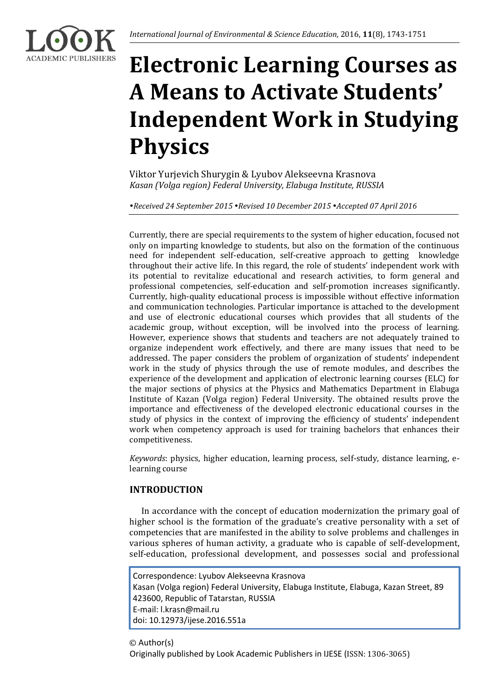

# **Electronic Learning Courses as A Means to Activate Students' Independent Work in Studying Physics**

Viktor Yurjevich Shurygin & Lyubov Alekseevna Krasnova *Kasan (Volga region) Federal University, Elabuga Institute, RUSSIA*

*Received 24 September 2015 Revised 10 December 2015 Accepted 07 April 2016*

Currently, there are special requirements to the system of higher education, focused not only on imparting knowledge to students, but also on the formation of the continuous need for independent self-education, self-creative approach to getting knowledge throughout their active life. In this regard, the role of students' independent work with its potential to revitalize educational and research activities, to form general and professional competencies, self-education and self-promotion increases significantly. Currently, high-quality educational process is impossible without effective information and communication technologies. Particular importance is attached to the development and use of electronic educational courses which provides that all students of the academic group, without exception, will be involved into the process of learning. However, experience shows that students and teachers are not adequately trained to organize independent work effectively, and there are many issues that need to be addressed. The paper considers the problem of organization of students' independent work in the study of physics through the use of remote modules, and describes the experience of the development and application of electronic learning courses (ELC) for the major sections of physics at the Physics and Mathematics Department in Elabuga Institute of Kazan (Volga region) Federal University. The obtained results prove the importance and effectiveness of the developed electronic educational courses in the study of physics in the context of improving the efficiency of students' independent work when competency approach is used for training bachelors that enhances their competitiveness.

*Keywords*: physics, higher education, learning process, self-study, distance learning, elearning course

# **INTRODUCTION**

In accordance with the concept of education modernization the primary goal of higher school is the formation of the graduate's creative personality with a set of competencies that are manifested in the ability to solve problems and challenges in various spheres of human activity, a graduate who is capable of self-development, self-education, professional development, and possesses social and professional

Correspondence: Lyubov Alekseevna Krasnova Kasan (Volga region) Federal University, Elabuga Institute, Elabuga, Kazan Street, 89 423600, Republic of Tatarstan, RUSSIA E-mail: l.krasn@mail.ru doi: 10.12973/ijese.2016.551a

© Author(s) Originally published by Look Academic Publishers in IJESE (ISSN: 1306-3065)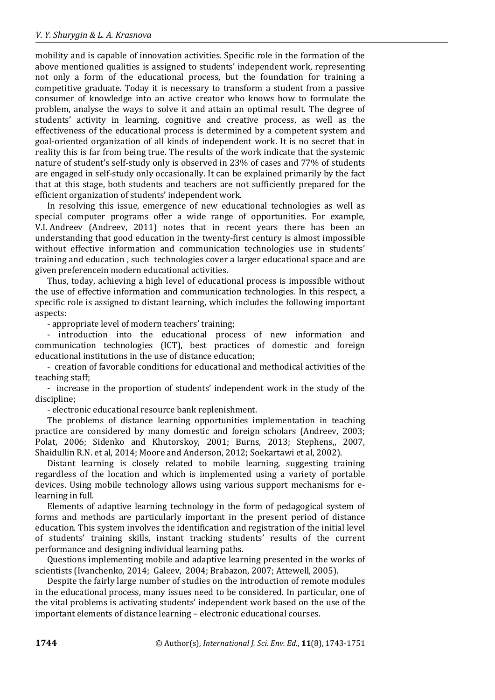mobility and is capable of innovation activities. Specific role in the formation of the above mentioned qualities is assigned to students' independent work, representing not only a form of the educational process, but the foundation for training a competitive graduate. Today it is necessary to transform a student from a passive consumer of knowledge into an active creator who knows how to formulate the problem, analyse the ways to solve it and attain an optimal result. The degree of students' activity in learning, cognitive and creative process, as well as the effectiveness of the educational process is determined by a competent system and goal-oriented organization of all kinds of independent work. It is no secret that in reality this is far from being true. The results of the work indicate that the systemic nature of student's self-study only is observed in 23% of cases and 77% of students are engaged in self-study only occasionally. It can be explained primarily by the fact that at this stage, both students and teachers are not sufficiently prepared for the efficient organization of students' independent work.

In resolving this issue, emergence of new educational technologies as well as special computer programs offer a wide range of opportunities. For example, V.I. Andreev (Andreev, 2011) notes that in recent years there has been an understanding that good education in the twenty-first century is almost impossible without effective information and communication technologies use in students' training and education , such technologies cover a larger educational space and are given preferencein modern educational activities.

Thus, today, achieving a high level of educational process is impossible without the use of effective information and communication technologies. In this respect, a specific role is assigned to distant learning, which includes the following important aspects:

- appropriate level of modern teachers' training;

- introduction into the educational process of new information and communication technologies (ICT), best practices of domestic and foreign educational institutions in the use of distance education;

- creation of favorable conditions for educational and methodical activities of the teaching staff;

- increase in the proportion of students' independent work in the study of the discipline;

- electronic educational resource bank replenishment.

The problems of distance learning opportunities implementation in teaching practice are considered by many domestic and foreign scholars (Andreev, 2003; Polat, 2006; Sidenko and Khutorskoy, 2001; Burns, 2013; Stephens,, 2007, Shaidullin R.N. et al, 2014; Moore and Anderson, 2012; Soekartawi et al, 2002).

Distant learning is closely related to mobile learning, suggesting training regardless of the location and which is implemented using a variety of portable devices. Using mobile technology allows using various support mechanisms for elearning in full.

Elements of adaptive learning technology in the form of pedagogical system of forms and methods are particularly important in the present period of distance education. This system involves the identification and registration of the initial level of students' training skills, instant tracking students' results of the current performance and designing individual learning paths.

Questions implementing mobile and adaptive learning presented in the works of scientists (Ivanchenko, 2014; Galeev, 2004; Brabazon, 2007; Attewell, 2005).

Despite the fairly large number of studies on the introduction of remote modules in the educational process, many issues need to be considered. In particular, one of the vital problems is activating students' independent work based on the use of the important elements of distance learning – electronic educational courses.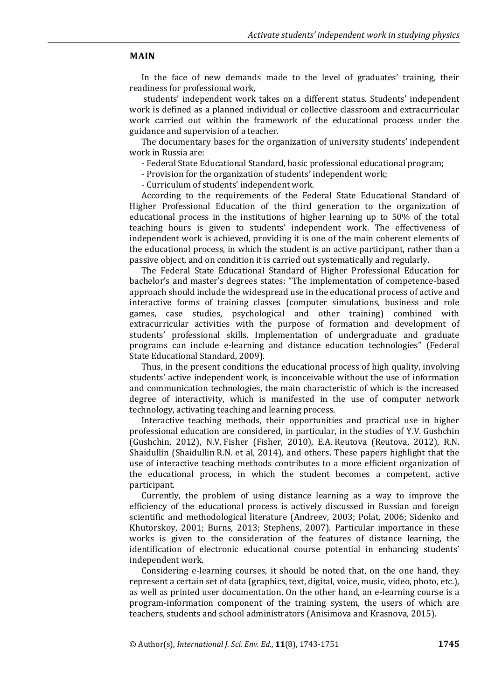#### **MAIN**

In the face of new demands made to the level of graduates' training, their readiness for professional work,

students' independent work takes on a different status. Students' independent work is defined as a planned individual or collective classroom and extracurricular work carried out within the framework of the educational process under the guidance and supervision of a teacher.

The documentary bases for the organization of university students' independent work in Russia are:

- Federal State Educational Standard, basic professional educational program;

- Provision for the organization of students' independent work;

- Curriculum of students' independent work.

According to the requirements of the Federal State Educational Standard of Higher Professional Education of the third generation to the organization of educational process in the institutions of higher learning up to 50% of the total teaching hours is given to students' independent work. The effectiveness of independent work is achieved, providing it is one of the main coherent elements of the educational process, in which the student is an active participant, rather than a passive object, and on condition it is carried out systematically and regularly.

The Federal State Educational Standard of Higher Professional Education for bachelor's and master's degrees states: "The implementation of competence-based approach should include the widespread use in the educational process of active and interactive forms of training classes (computer simulations, business and role games, case studies, psychological and other training) combined with extracurricular activities with the purpose of formation and development of students' professional skills. Implementation of undergraduate and graduate programs can include e-learning and distance education technologies" (Federal State Educational Standard, 2009).

Thus, in the present conditions the educational process of high quality, involving students' active independent work, is inconceivable without the use of information and communication technologies, the main characteristic of which is the increased degree of interactivity, which is manifested in the use of computer network technology, activating teaching and learning process.

Interactive teaching methods, their opportunities and practical use in higher professional education are considered, in particular, in the studies of Y.V. Gushchin (Gushchin, 2012), N.V. Fisher (Fisher, 2010), E.A. Reutova (Reutova, 2012), R.N. Shaidullin (Shaidullin R.N. et al, 2014), and others. These papers highlight that the use of interactive teaching methods contributes to a more efficient organization of the educational process, in which the student becomes a competent, active participant.

Currently, the problem of using distance learning as a way to improve the efficiency of the educational process is actively discussed in Russian and foreign scientific and methodological literature (Andreev, 2003; Polat, 2006; Sidenko and Khutorskoy, 2001; Burns, 2013; Stephens, 2007). Particular importance in these works is given to the consideration of the features of distance learning, the identification of electronic educational course potential in enhancing students' independent work.

Considering e-learning courses, it should be noted that, on the one hand, they represent a certain set of data (graphics, text, digital, voice, music, video, photo, etc.), as well as printed user documentation. On the other hand, an e-learning course is a program-information component of the training system, the users of which are teachers, students and school administrators (Anisimova and Krasnova, 2015).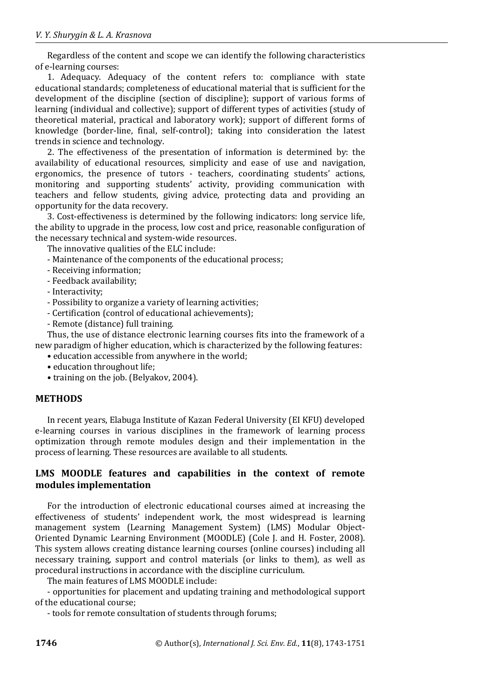Regardless of the content and scope we can identify the following characteristics of e-learning courses:

1. Adequacy. Adequacy of the content refers to: compliance with state educational standards; completeness of educational material that is sufficient for the development of the discipline (section of discipline); support of various forms of learning (individual and collective); support of different types of activities (study of theoretical material, practical and laboratory work); support of different forms of knowledge (border-line, final, self-control); taking into consideration the latest trends in science and technology.

2. The effectiveness of the presentation of information is determined by: the availability of educational resources, simplicity and ease of use and navigation, ergonomics, the presence of tutors - teachers, coordinating students' actions, monitoring and supporting students' activity, providing communication with teachers and fellow students, giving advice, protecting data and providing an opportunity for the data recovery.

3. Cost-effectiveness is determined by the following indicators: long service life, the ability to upgrade in the process, low cost and price, reasonable configuration of the necessary technical and system-wide resources.

The innovative qualities of the ELC include:

- Maintenance of the components of the educational process;

- Receiving information;
- Feedback availability;
- Interactivity;
- Possibility to organize a variety of learning activities;
- Certification (control of educational achievements);
- Remote (distance) full training.

Thus, the use of distance electronic learning courses fits into the framework of a new paradigm of higher education, which is characterized by the following features:

- education accessible from anywhere in the world;
- education throughout life;
- training on the job. (Belyakov, 2004).

#### **METHODS**

In recent years, Elabuga Institute of Kazan Federal University (EI KFU) developed e-learning courses in various disciplines in the framework of learning process optimization through remote modules design and their implementation in the process of learning. These resources are available to all students.

### **LMS MOODLE features and capabilities in the context of remote modules implementation**

For the introduction of electronic educational courses aimed at increasing the effectiveness of students' independent work, the most widespread is learning management system (Learning Management System) (LMS) Modular Object-Oriented Dynamic Learning Environment (MOODLE) (Cole J. and H. Foster, 2008). This system allows creating distance learning courses (online courses) including all necessary training, support and control materials (or links to them), as well as procedural instructions in accordance with the discipline curriculum.

The main features of LMS MOODLE include:

- opportunities for placement and updating training and methodological support of the educational course;

- tools for remote consultation of students through forums;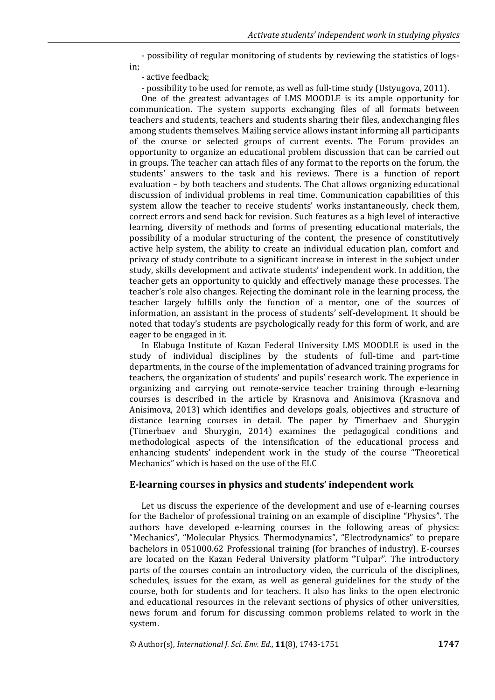- possibility of regular monitoring of students by reviewing the statistics of logs-

in;

- active feedback;

- possibility to be used for remote, as well as full-time study (Ustyugova, 2011).

One of the greatest advantages of LMS MOODLE is its ample opportunity for communication. The system supports exchanging files of all formats between teachers and students, teachers and students sharing their files, andexchanging files among students themselves. Mailing service allows instant informing all participants of the course or selected groups of current events. The Forum provides an opportunity to organize an educational problem discussion that can be carried out in groups. The teacher can attach files of any format to the reports on the forum, the students' answers to the task and his reviews. There is a function of report evaluation – by both teachers and students. The Chat allows organizing educational discussion of individual problems in real time. Communication capabilities of this system allow the teacher to receive students' works instantaneously, check them, correct errors and send back for revision. Such features as a high level of interactive learning, diversity of methods and forms of presenting educational materials, the possibility of a modular structuring of the content, the presence of constitutively active help system, the ability to create an individual education plan, comfort and privacy of study contribute to a significant increase in interest in the subject under study, skills development and activate students' independent work. In addition, the teacher gets an opportunity to quickly and effectively manage these processes. The teacher's role also changes. Rejecting the dominant role in the learning process, the teacher largely fulfills only the function of a mentor, one of the sources of information, an assistant in the process of students' self-development. It should be noted that today's students are psychologically ready for this form of work, and are eager to be engaged in it.

In Elabuga Institute of Kazan Federal University LMS MOODLE is used in the study of individual disciplines by the students of full-time and part-time departments, in the course of the implementation of advanced training programs for teachers, the organization of students' and pupils' research work. The experience in organizing and carrying out remote-service teacher training through e-learning courses is described in the article by Krasnova and Anisimova (Krasnova and Anisimova, 2013) which identifies and develops goals, objectives and structure of distance learning courses in detail. The paper by Timerbaev and Shurygin (Timerbaev and Shurygin, 2014) examines the pedagogical conditions and methodological aspects of the intensification of the educational process and enhancing students' independent work in the study of the course "Theoretical Mechanics" which is based on the use of the ELC

#### **E-learning courses in physics and students' independent work**

Let us discuss the experience of the development and use of e-learning courses for the Bachelor of professional training on an example of discipline "Physics". The authors have developed e-learning courses in the following areas of physics: "Mechanics", "Molecular Physics. Thermodynamics", "Electrodynamics" to prepare bachelors in 051000.62 Professional training (for branches of industry). E-courses are located on the Kazan Federal University platform "Tulpar". The introductory parts of the courses contain an introductory video, the curricula of the disciplines, schedules, issues for the exam, as well as general guidelines for the study of the course, both for students and for teachers. It also has links to the open electronic and educational resources in the relevant sections of physics of other universities, news forum and forum for discussing common problems related to work in the system.

© Author(s), *International J. Sci. Env. Ed.*, **11**(8), 1743-1751 **1747**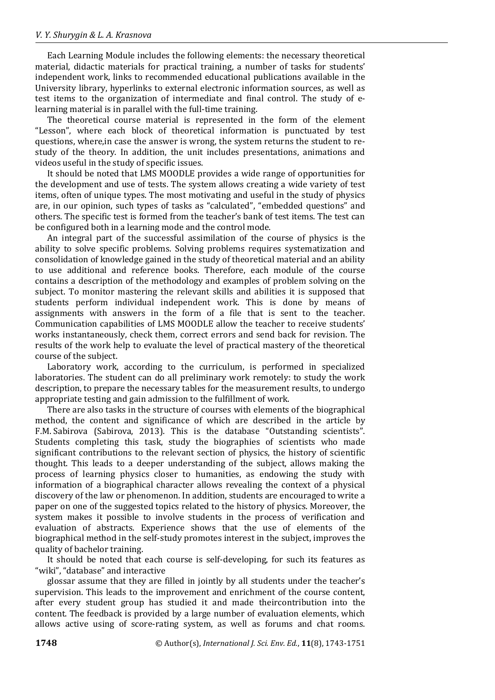Each Learning Module includes the following elements: the necessary theoretical material, didactic materials for practical training, a number of tasks for students' independent work, links to recommended educational publications available in the University library, hyperlinks to external electronic information sources, as well as test items to the organization of intermediate and final control. The study of elearning material is in parallel with the full-time training.

The theoretical course material is represented in the form of the element "Lesson", where each block of theoretical information is punctuated by test questions, where,in case the answer is wrong, the system returns the student to restudy of the theory. In addition, the unit includes presentations, animations and videos useful in the study of specific issues.

It should be noted that LMS MOODLE provides a wide range of opportunities for the development and use of tests. The system allows creating a wide variety of test items, often of unique types. The most motivating and useful in the study of physics are, in our opinion, such types of tasks as "calculated", "embedded questions" and others. The specific test is formed from the teacher's bank of test items. The test can be configured both in a learning mode and the control mode.

An integral part of the successful assimilation of the course of physics is the ability to solve specific problems. Solving problems requires systematization and consolidation of knowledge gained in the study of theoretical material and an ability to use additional and reference books. Therefore, each module of the course contains a description of the methodology and examples of problem solving on the subject. To monitor mastering the relevant skills and abilities it is supposed that students perform individual independent work. This is done by means of assignments with answers in the form of a file that is sent to the teacher. Communication capabilities of LMS MOODLE allow the teacher to receive students' works instantaneously, check them, correct errors and send back for revision. The results of the work help to evaluate the level of practical mastery of the theoretical course of the subject.

Laboratory work, according to the curriculum, is performed in specialized laboratories. The student can do all preliminary work remotely: to study the work description, to prepare the necessary tables for the measurement results, to undergo appropriate testing and gain admission to the fulfillment of work.

There are also tasks in the structure of courses with elements of the biographical method, the content and significance of which are described in the article by F.M. Sabirova (Sabirova, 2013). This is the database "Outstanding scientists". Students completing this task, study the biographies of scientists who made significant contributions to the relevant section of physics, the history of scientific thought. This leads to a deeper understanding of the subject, allows making the process of learning physics closer to humanities, as endowing the study with information of a biographical character allows revealing the context of a physical discovery of the law or phenomenon. In addition, students are encouraged to write a paper on one of the suggested topics related to the history of physics. Moreover, the system makes it possible to involve students in the process of verification and evaluation of abstracts. Experience shows that the use of elements of the biographical method in the self-study promotes interest in the subject, improves the quality of bachelor training.

It should be noted that each course is self-developing, for such its features as "wiki", "database" and interactive

glossar assume that they are filled in jointly by all students under the teacher's supervision. This leads to the improvement and enrichment of the course content, after every student group has studied it and made theircontribution into the content. The feedback is provided by a large number of evaluation elements, which allows active using of score-rating system, as well as forums and chat rooms.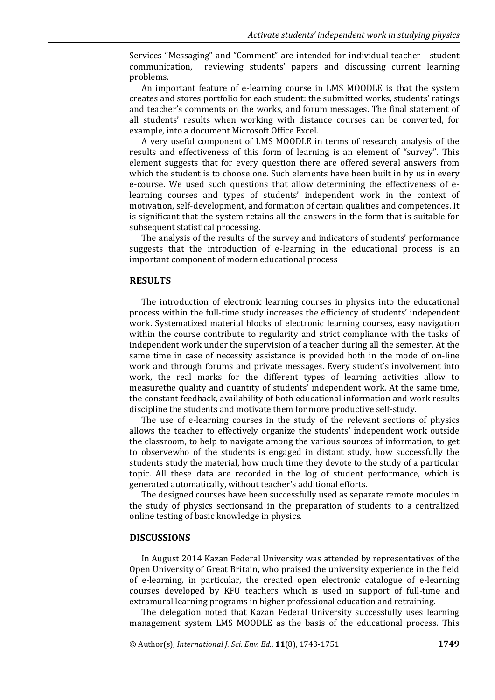Services "Messaging" and "Comment" are intended for individual teacher - student communication, reviewing students' papers and discussing current learning problems.

An important feature of e-learning course in LMS MOODLE is that the system creates and stores portfolio for each student: the submitted works, students' ratings and teacher's comments on the works, and forum messages. The final statement of all students' results when working with distance courses can be converted, for example, into a document Microsoft Office Excel.

A very useful component of LMS MOODLE in terms of research, analysis of the results and effectiveness of this form of learning is an element of "survey". This element suggests that for every question there are offered several answers from which the student is to choose one. Such elements have been built in by us in every e-course. We used such questions that allow determining the effectiveness of elearning courses and types of students' independent work in the context of motivation, self-development, and formation of certain qualities and competences. It is significant that the system retains all the answers in the form that is suitable for subsequent statistical processing.

The analysis of the results of the survey and indicators of students' performance suggests that the introduction of e-learning in the educational process is an important component of modern educational process

#### **RESULTS**

The introduction of electronic learning courses in physics into the educational process within the full-time study increases the efficiency of students' independent work. Systematized material blocks of electronic learning courses, easy navigation within the course contribute to regularity and strict compliance with the tasks of independent work under the supervision of a teacher during all the semester. At the same time in case of necessity assistance is provided both in the mode of on-line work and through forums and private messages. Every student's involvement into work, the real marks for the different types of learning activities allow to measurethe quality and quantity of students' independent work. At the same time, the constant feedback, availability of both educational information and work results discipline the students and motivate them for more productive self-study.

The use of e-learning courses in the study of the relevant sections of physics allows the teacher to effectively organize the students' independent work outside the classroom, to help to navigate among the various sources of information, to get to observewho of the students is engaged in distant study, how successfully the students study the material, how much time they devote to the study of a particular topic. All these data are recorded in the log of student performance, which is generated automatically, without teacher's additional efforts.

The designed courses have been successfully used as separate remote modules in the study of physics sectionsand in the preparation of students to a centralized online testing of basic knowledge in physics.

#### **DISCUSSIONS**

In August 2014 Kazan Federal University was attended by representatives of the Open University of Great Britain, who praised the university experience in the field of e-learning, in particular, the created open electronic catalogue of e-learning courses developed by KFU teachers which is used in support of full-time and extramural learning programs in higher professional education and retraining.

The delegation noted that Kazan Federal University successfully uses learning management system LMS MOODLE as the basis of the educational process. This

© Author(s), *International J. Sci. Env. Ed.*, **11**(8), 1743-1751 **1749**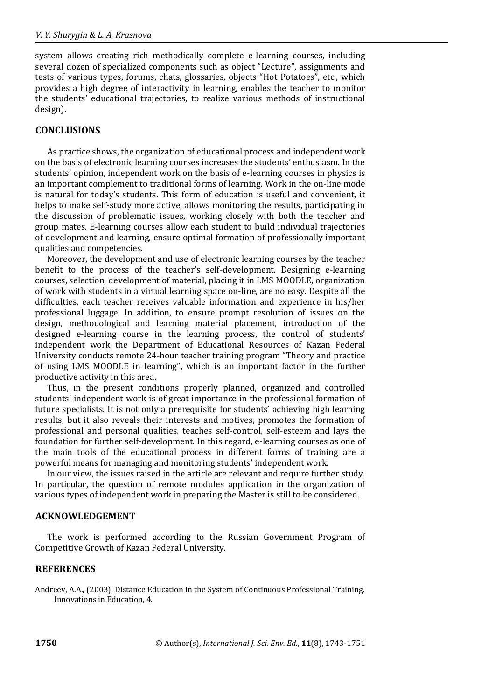system allows creating rich methodically complete e-learning courses, including several dozen of specialized components such as object "Lecture", assignments and tests of various types, forums, chats, glossaries, objects "Hot Potatoes", etc., which provides a high degree of interactivity in learning, enables the teacher to monitor the students' educational trajectories, to realize various methods of instructional design).

## **CONCLUSIONS**

As practice shows, the organization of educational process and independent work on the basis of electronic learning courses increases the students' enthusiasm. In the students' opinion, independent work on the basis of e-learning courses in physics is an important complement to traditional forms of learning. Work in the on-line mode is natural for today's students. This form of education is useful and convenient, it helps to make self-study more active, allows monitoring the results, participating in the discussion of problematic issues, working closely with both the teacher and group mates. E-learning courses allow each student to build individual trajectories of development and learning, ensure optimal formation of professionally important qualities and competencies.

Moreover, the development and use of electronic learning courses by the teacher benefit to the process of the teacher's self-development. Designing e-learning courses, selection, development of material, placing it in LMS MOODLE, organization of work with students in a virtual learning space on-line, are no easy. Despite all the difficulties, each teacher receives valuable information and experience in his/her professional luggage. In addition, to ensure prompt resolution of issues on the design, methodological and learning material placement, introduction of the designed e-learning course in the learning process, the control of students' independent work the Department of Educational Resources of Kazan Federal University conducts remote 24-hour teacher training program "Theory and practice of using LMS MOODLE in learning", which is an important factor in the further productive activity in this area.

Thus, in the present conditions properly planned, organized and controlled students' independent work is of great importance in the professional formation of future specialists. It is not only a prerequisite for students' achieving high learning results, but it also reveals their interests and motives, promotes the formation of professional and personal qualities, teaches self-control, self-esteem and lays the foundation for further self-development. In this regard, e-learning courses as one of the main tools of the educational process in different forms of training are a powerful means for managing and monitoring students' independent work.

In our view, the issues raised in the article are relevant and require further study. In particular, the question of remote modules application in the organization of various types of independent work in preparing the Master is still to be considered.

#### **ACKNOWLEDGEMENT**

The work is performed according to the Russian Government Program of Competitive Growth of Kazan Federal University.

# **REFERENCES**

Andreev, A.A., (2003). Distance Education in the System of Continuous Professional Training. Innovations in Education, 4.